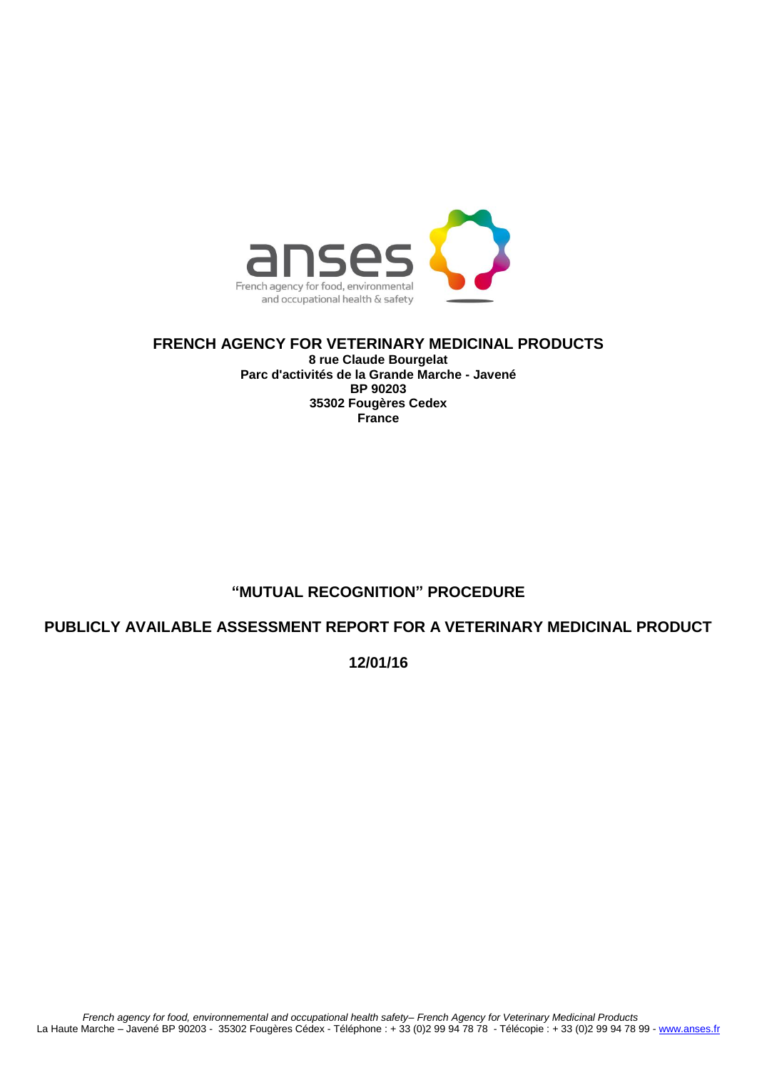

**FRENCH AGENCY FOR VETERINARY MEDICINAL PRODUCTS 8 rue Claude Bourgelat Parc d'activités de la Grande Marche - Javené BP 90203 35302 Fougères Cedex France**

## **"MUTUAL RECOGNITION" PROCEDURE**

**PUBLICLY AVAILABLE ASSESSMENT REPORT FOR A VETERINARY MEDICINAL PRODUCT**

**12/01/16**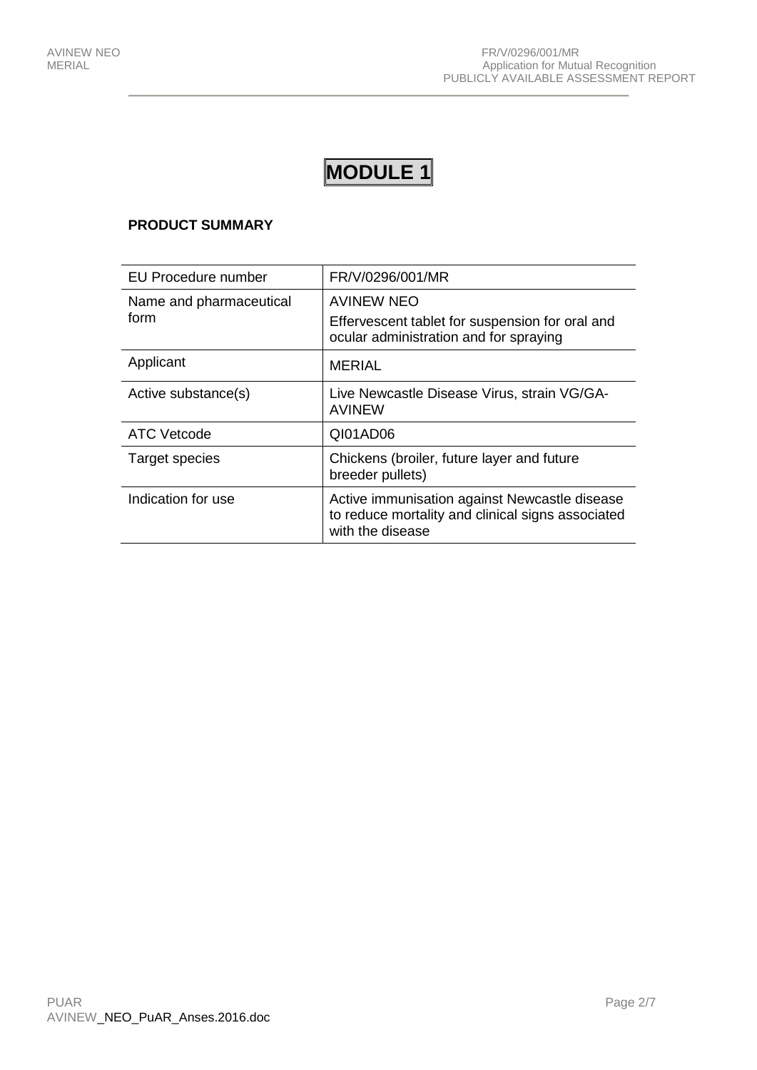# **MODULE 1**

### **PRODUCT SUMMARY**

| <b>EU Procedure number</b> | FR/V/0296/001/MR                                                                                                       |
|----------------------------|------------------------------------------------------------------------------------------------------------------------|
| Name and pharmaceutical    | <b>AVINEW NEO</b>                                                                                                      |
| form                       | Effervescent tablet for suspension for oral and<br>ocular administration and for spraying                              |
| Applicant                  | <b>MERIAL</b>                                                                                                          |
| Active substance(s)        | Live Newcastle Disease Virus, strain VG/GA-<br><b>AVINEW</b>                                                           |
| <b>ATC Vetcode</b>         | QI01AD06                                                                                                               |
| Target species             | Chickens (broiler, future layer and future<br>breeder pullets)                                                         |
| Indication for use         | Active immunisation against Newcastle disease<br>to reduce mortality and clinical signs associated<br>with the disease |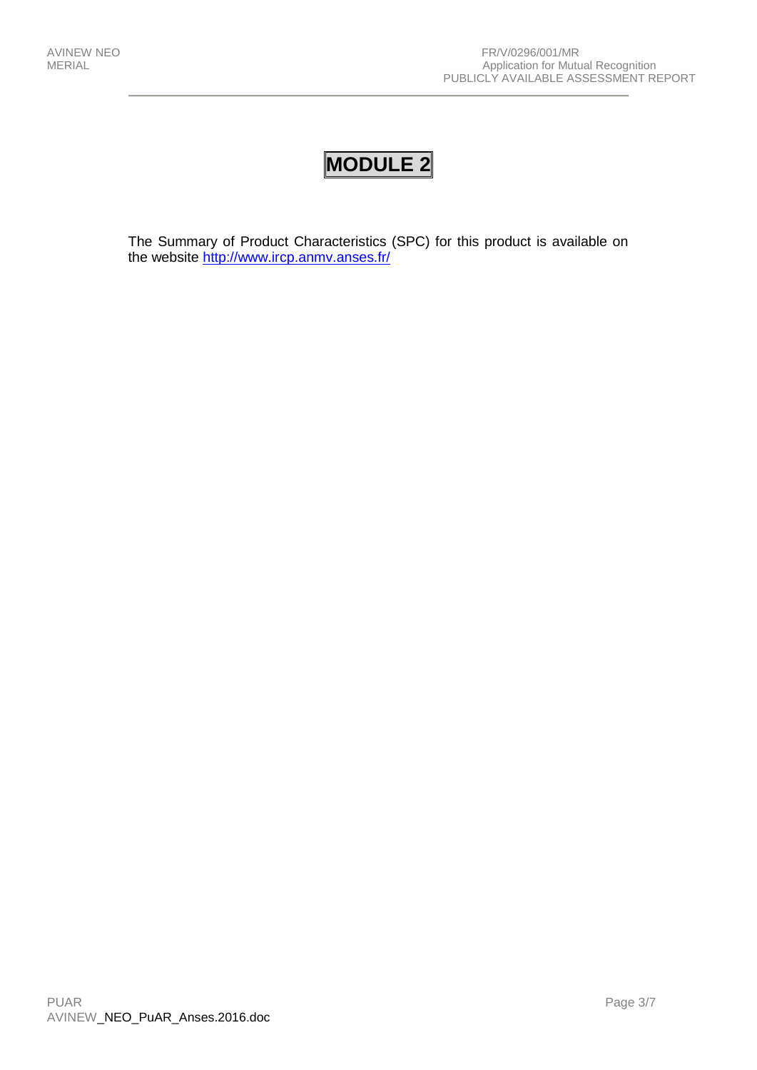## **MODULE 2**

The Summary of Product Characteristics (SPC) for this product is available on the website <http://www.ircp.anmv.anses.fr/>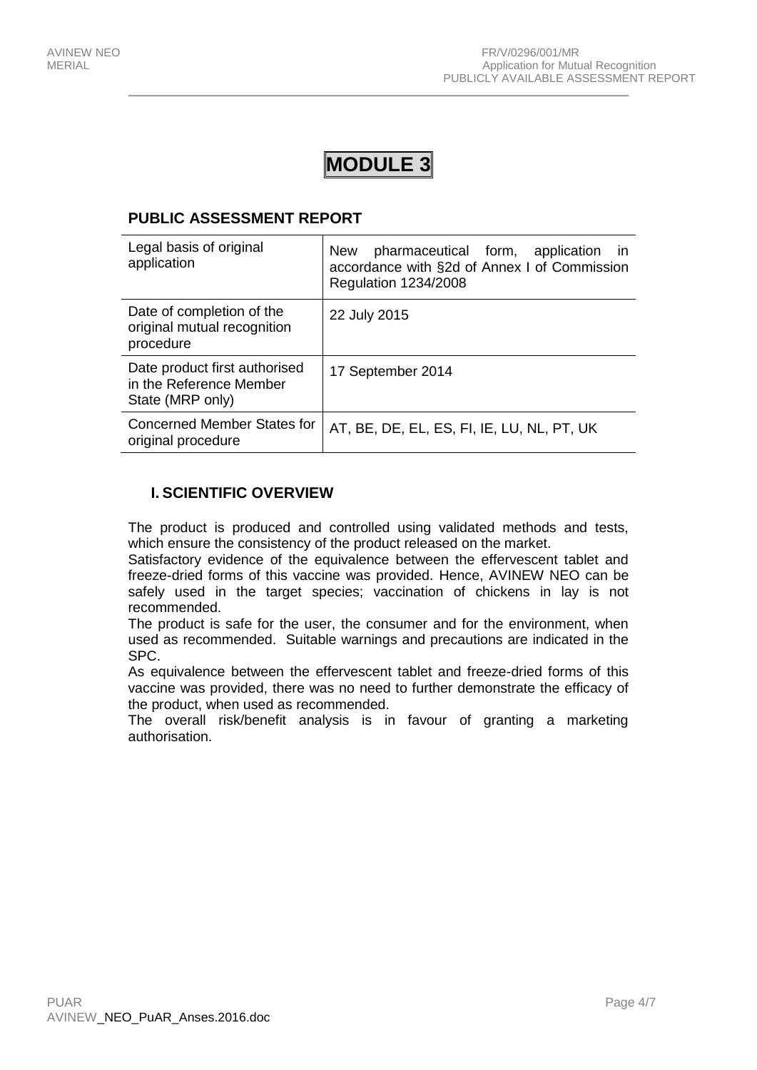## **MODULE 3**

## **PUBLIC ASSESSMENT REPORT**

| Legal basis of original<br>application                                       | pharmaceutical form, application in<br><b>New</b><br>accordance with §2d of Annex I of Commission<br><b>Regulation 1234/2008</b> |
|------------------------------------------------------------------------------|----------------------------------------------------------------------------------------------------------------------------------|
| Date of completion of the<br>original mutual recognition<br>procedure        | 22 July 2015                                                                                                                     |
| Date product first authorised<br>in the Reference Member<br>State (MRP only) | 17 September 2014                                                                                                                |
| <b>Concerned Member States for</b><br>original procedure                     | AT, BE, DE, EL, ES, FI, IE, LU, NL, PT, UK                                                                                       |

## **I. SCIENTIFIC OVERVIEW**

The product is produced and controlled using validated methods and tests, which ensure the consistency of the product released on the market.

Satisfactory evidence of the equivalence between the effervescent tablet and freeze-dried forms of this vaccine was provided. Hence, AVINEW NEO can be safely used in the target species; vaccination of chickens in lay is not recommended.

The product is safe for the user, the consumer and for the environment, when used as recommended. Suitable warnings and precautions are indicated in the SPC.

As equivalence between the effervescent tablet and freeze-dried forms of this vaccine was provided, there was no need to further demonstrate the efficacy of the product, when used as recommended.

The overall risk/benefit analysis is in favour of granting a marketing authorisation.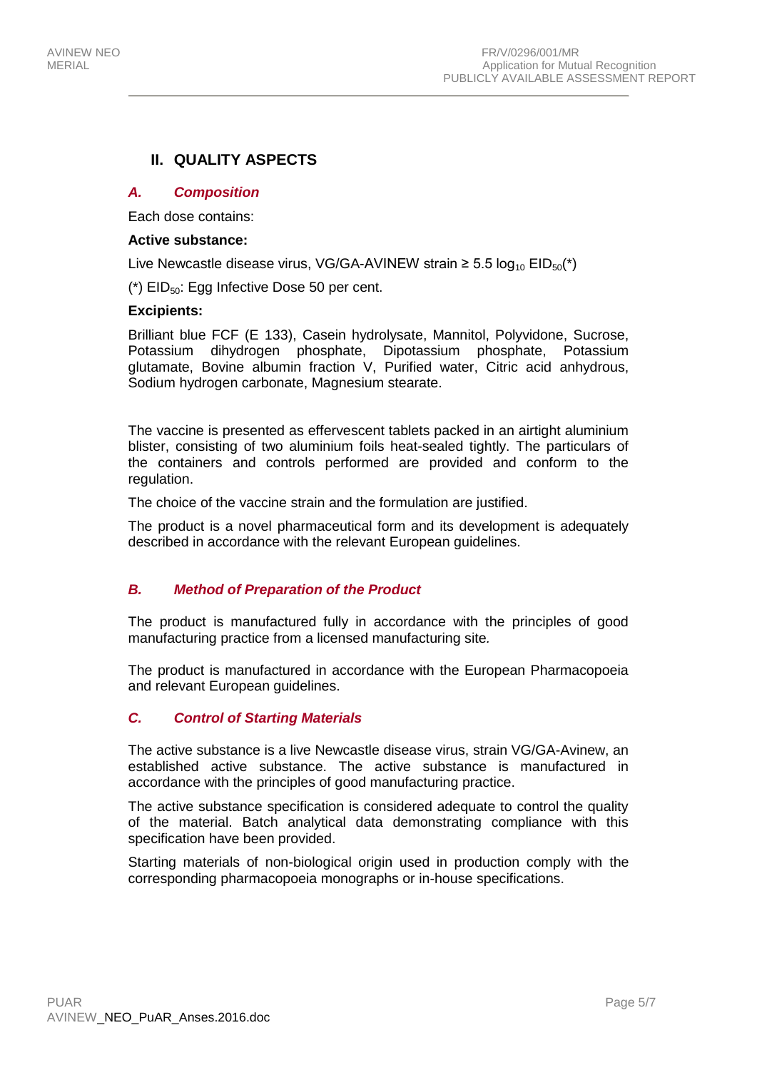## **II. QUALITY ASPECTS**

#### *A. Composition*

Each dose contains:

#### **Active substance:**

Live Newcastle disease virus, VG/GA-AVINEW strain ≥ 5.5  $log_{10}$  EID<sub>50</sub>(\*)

 $(*)$  EID<sub>50</sub>: Egg Infective Dose 50 per cent.

#### **Excipients:**

Brilliant blue FCF (E 133), Casein hydrolysate, Mannitol, Polyvidone, Sucrose, Potassium dihydrogen phosphate, Dipotassium phosphate, Potassium glutamate, Bovine albumin fraction V, Purified water, Citric acid anhydrous, Sodium hydrogen carbonate, Magnesium stearate.

The vaccine is presented as effervescent tablets packed in an airtight aluminium blister, consisting of two aluminium foils heat-sealed tightly. The particulars of the containers and controls performed are provided and conform to the regulation.

The choice of the vaccine strain and the formulation are justified.

The product is a novel pharmaceutical form and its development is adequately described in accordance with the relevant European guidelines.

#### *B. Method of Preparation of the Product*

The product is manufactured fully in accordance with the principles of good manufacturing practice from a licensed manufacturing site*.*

The product is manufactured in accordance with the European Pharmacopoeia and relevant European guidelines.

#### *C. Control of Starting Materials*

The active substance is a live Newcastle disease virus, strain VG/GA-Avinew, an established active substance. The active substance is manufactured in accordance with the principles of good manufacturing practice.

The active substance specification is considered adequate to control the quality of the material. Batch analytical data demonstrating compliance with this specification have been provided.

Starting materials of non-biological origin used in production comply with the corresponding pharmacopoeia monographs or in-house specifications.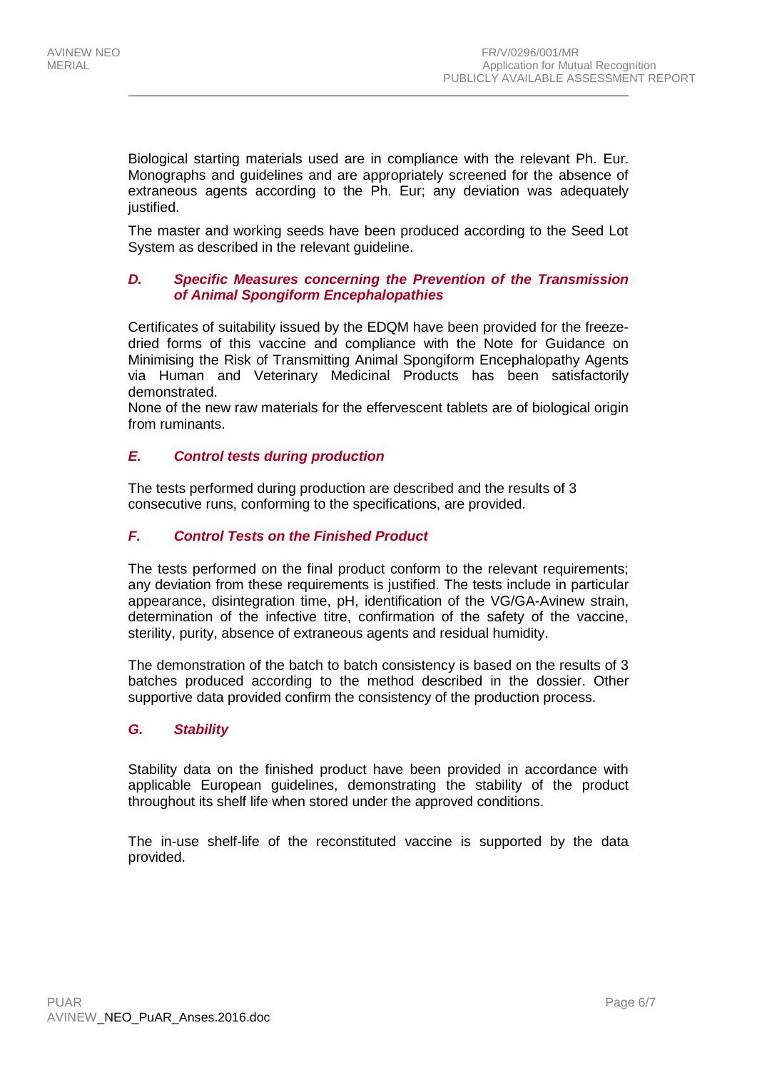Biological starting materials used are in compliance with the relevant Ph. Eur. Monographs and guidelines and are appropriately screened for the absence of extraneous agents according to the Ph. Eur; any deviation was adequately justified.

The master and working seeds have been produced according to the Seed Lot System as described in the relevant guideline.

#### *D. Specific Measures concerning the Prevention of the Transmission of Animal Spongiform Encephalopathies*

Certificates of suitability issued by the EDQM have been provided for the freezedried forms of this vaccine and compliance with the Note for Guidance on Minimising the Risk of Transmitting Animal Spongiform Encephalopathy Agents via Human and Veterinary Medicinal Products has been satisfactorily demonstrated.

None of the new raw materials for the effervescent tablets are of biological origin from ruminants.

### *E. Control tests during production*

The tests performed during production are described and the results of 3 consecutive runs, conforming to the specifications, are provided.

#### *F. Control Tests on the Finished Product*

The tests performed on the final product conform to the relevant requirements; any deviation from these requirements is justified. The tests include in particular appearance, disintegration time, pH, identification of the VG/GA-Avinew strain, determination of the infective titre, confirmation of the safety of the vaccine, sterility, purity, absence of extraneous agents and residual humidity.

The demonstration of the batch to batch consistency is based on the results of 3 batches produced according to the method described in the dossier. Other supportive data provided confirm the consistency of the production process.

#### *G. Stability*

Stability data on the finished product have been provided in accordance with applicable European guidelines, demonstrating the stability of the product throughout its shelf life when stored under the approved conditions.

The in-use shelf-life of the reconstituted vaccine is supported by the data provided.